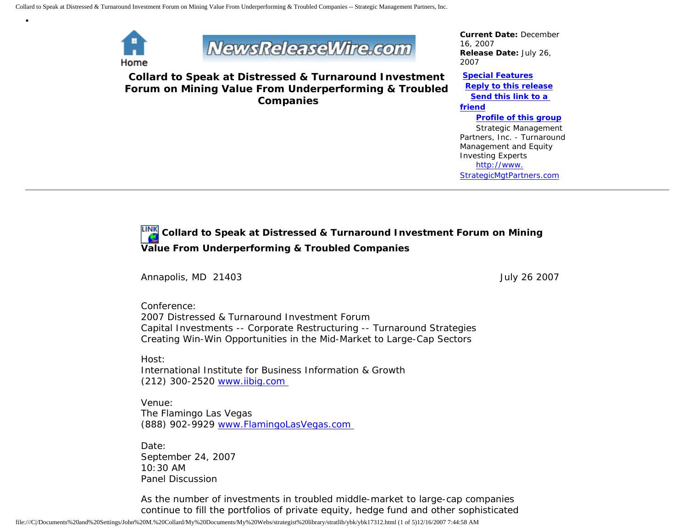

•



**Collard to Speak at Distressed & Turnaround Investment Forum on Mining Value From Underperforming & Troubled Companies**

*Current Date:* December 16, 2007 *Release Date:* July 26, 2007

**[Special Features](javascript:openlittleme() [Reply to this release](file:///C|/Documents%20and%20Settings/John%20M.%20Collard/My%20Documents/My%20Webs/strategist%20library/stratlib/ybk/default.cfm?Action=ReplyRelease&Id=17312) [Send this link to a](file:///C|/Documents%20and%20Settings/John%20M.%20Collard/My%20Documents/My%20Webs/strategist%20library/stratlib/ybk/default.cfm?Action=SendLink&SendId=17312)  [friend](file:///C|/Documents%20and%20Settings/John%20M.%20Collard/My%20Documents/My%20Webs/strategist%20library/stratlib/ybk/default.cfm?Action=SendLink&SendId=17312) [Profile of this group](file:///C|/Documents%20and%20Settings/John%20M.%20Collard/My%20Documents/My%20Webs/strategist%20library/stratlib/ybk/default.cfm?Action=Profile&ProfileId=623)** Strategic Management Partners, Inc. - Turnaround Management and Equity Investing Experts

 [http://www.](http://www.strategicmgtpartners.com/) [StrategicMgtPartners.com](http://www.strategicmgtpartners.com/)

**Collard to Speak at Distressed & Turnaround Investment Forum on Mining Value From Underperforming & Troubled Companies** 

Annapolis, MD 21403 **July 26 2007** 

Conference: 2007 Distressed & Turnaround Investment Forum Capital Investments -- Corporate Restructuring -- Turnaround Strategies Creating Win-Win Opportunities in the Mid-Market to Large-Cap Sectors

Host: International Institute for Business Information & Growth (212) 300-2520 [www.iibig.com](http://www.iibig.com/)

Venue: The Flamingo Las Vegas (888) 902-9929 [www.FlamingoLasVegas.com](http://www.flamingolasvegas.com/) 

Date: September 24, 2007 10:30 AM Panel Discussion

As the number of investments in troubled middle-market to large-cap companies continue to fill the portfolios of private equity, hedge fund and other sophisticated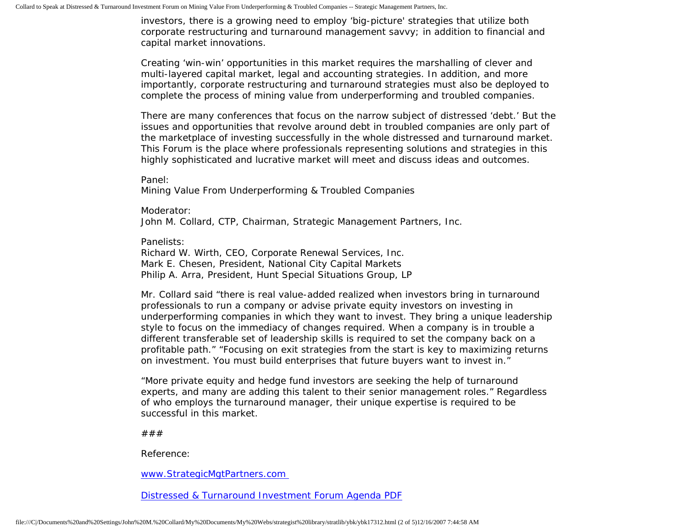investors, there is a growing need to employ 'big-picture' strategies that utilize both corporate restructuring and turnaround management savvy; in addition to financial and capital market innovations.

Creating 'win-win' opportunities in this market requires the marshalling of clever and multi-layered capital market, legal and accounting strategies. In addition, and more importantly, corporate restructuring and turnaround strategies must also be deployed to complete the process of mining value from underperforming and troubled companies.

There are many conferences that focus on the narrow subject of distressed 'debt.' But the issues and opportunities that revolve around debt in troubled companies are only part of the marketplace of investing successfully in the whole distressed and turnaround market. This Forum is the place where professionals representing solutions and strategies in this highly sophisticated and lucrative market will meet and discuss ideas and outcomes.

Panel:

Mining Value From Underperforming & Troubled Companies

Moderator: John M. Collard, CTP, Chairman, Strategic Management Partners, Inc.

Panelists:

Richard W. Wirth, CEO, Corporate Renewal Services, Inc. Mark E. Chesen, President, National City Capital Markets Philip A. Arra, President, Hunt Special Situations Group, LP

Mr. Collard said "there is real value-added realized when investors bring in turnaround professionals to run a company or advise private equity investors on investing in underperforming companies in which they want to invest. They bring a unique leadership style to focus on the immediacy of changes required. When a company is in trouble a different transferable set of leadership skills is required to set the company back on a profitable path." "Focusing on exit strategies from the start is key to maximizing returns on investment. You must build enterprises that future buyers want to invest in."

"More private equity and hedge fund investors are seeking the help of turnaround experts, and many are adding this talent to their senior management roles." Regardless of who employs the turnaround manager, their unique expertise is required to be successful in this market.

###

Reference:

[www.StrategicMgtPartners.com](http://www.strategicmgtpartners.com/)

[Distressed & Turnaround Investment Forum Agenda PDF](http://members.aol.com/Strategist/iibigdtinv07.pdf)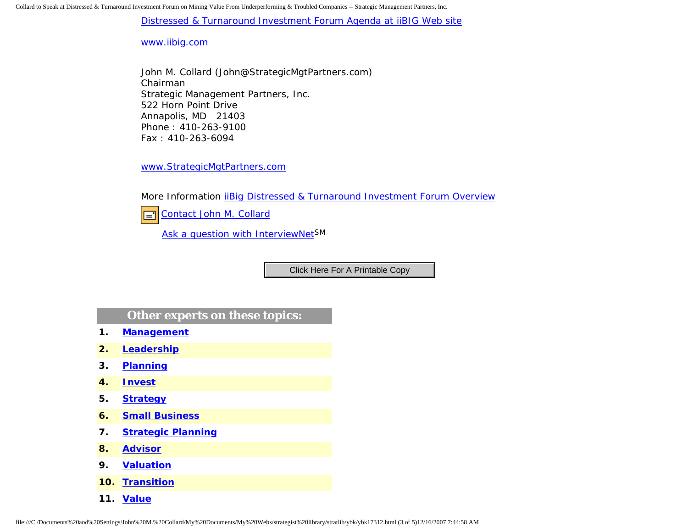Collard to Speak at Distressed & Turnaround Investment Forum on Mining Value From Underperforming & Troubled Companies -- Strategic Management Partners, Inc.

[Distressed & Turnaround Investment Forum Agenda at iiBIG Web site](http://www.iibig.com/conferences/F0701/overview.html)

[www.iibig.com](http://www.iibig.com/) 

John M. Collard (John@StrategicMgtPartners.com) Chairman Strategic Management Partners, Inc. 522 Horn Point Drive Annapolis, MD 21403 Phone : 410-263-9100 Fax : 410-263-6094

[www.StrategicMgtPartners.com](http://www.strategicmgtpartners.com/)

More Information [iiBig Distressed & Turnaround Investment Forum Overview](http://www.iibig.com/conferences/F0701/overview.html)



[Ask a question with InterviewNetS](http://www.expertclick.com/expertClick/contact/default.cfm?GroupID=1016)M

## **Other experts on these topics:**

- **1. [Management](http://www.expertclick.com/search/default.cfm?SearchCriteria=Management)**
- **2. [Leadership](http://www.expertclick.com/search/default.cfm?SearchCriteria=Leadership)**
- **3. [Planning](http://www.expertclick.com/search/default.cfm?SearchCriteria=Planning)**
- **4. [Invest](http://www.expertclick.com/search/default.cfm?SearchCriteria=Invest)**
- **5. [Strategy](http://www.expertclick.com/search/default.cfm?SearchCriteria=Strategy)**
- **6. [Small Business](http://www.expertclick.com/search/default.cfm?SearchCriteria=Small Business)**
- **7. [Strategic Planning](http://www.expertclick.com/search/default.cfm?SearchCriteria=Strategic Planning)**
- **8. [Advisor](http://www.expertclick.com/search/default.cfm?SearchCriteria=Advisor)**
- **9. [Valuation](http://www.expertclick.com/search/default.cfm?SearchCriteria=Valuation)**
- **10. [Transition](http://www.expertclick.com/search/default.cfm?SearchCriteria=Transition)**
- **11. [Value](http://www.expertclick.com/search/default.cfm?SearchCriteria=Value)**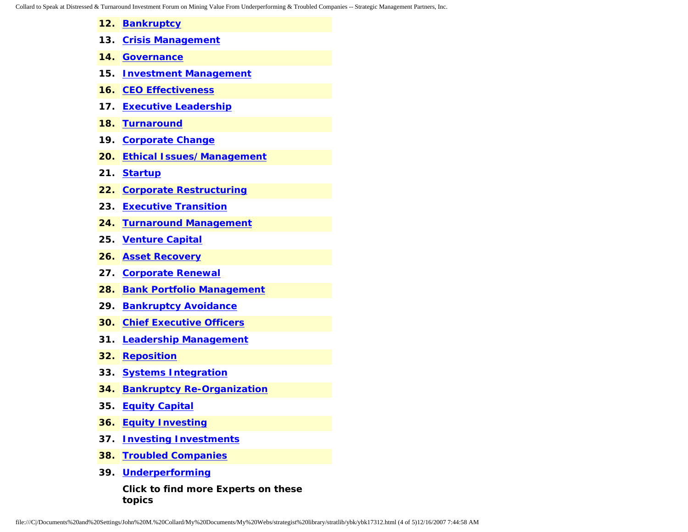Collard to Speak at Distressed & Turnaround Investment Forum on Mining Value From Underperforming & Troubled Companies -- Strategic Management Partners, Inc.

- **12. [Bankruptcy](http://www.expertclick.com/search/default.cfm?SearchCriteria=Bankruptcy)**
- **13. [Crisis Management](http://www.expertclick.com/search/default.cfm?SearchCriteria=Crisis Management)**
- **14. [Governance](http://www.expertclick.com/search/default.cfm?SearchCriteria=Governance)**
- **15. [Investment Management](http://www.expertclick.com/search/default.cfm?SearchCriteria=Investment Management)**
- **16. [CEO Effectiveness](http://www.expertclick.com/search/default.cfm?SearchCriteria=CEO Effectiveness)**
- **17. [Executive Leadership](http://www.expertclick.com/search/default.cfm?SearchCriteria=Executive Leadership)**
- **18. [Turnaround](http://www.expertclick.com/search/default.cfm?SearchCriteria=Turnaround)**
- **19. [Corporate Change](http://www.expertclick.com/search/default.cfm?SearchCriteria=Corporate Change)**
- **20. [Ethical Issues/Management](http://www.expertclick.com/search/default.cfm?SearchCriteria=Ethical Issues/Management)**
- **21. [Startup](http://www.expertclick.com/search/default.cfm?SearchCriteria=Startup)**
- **22. [Corporate Restructuring](http://www.expertclick.com/search/default.cfm?SearchCriteria=Corporate Restructuring)**
- **23. [Executive Transition](http://www.expertclick.com/search/default.cfm?SearchCriteria=Executive Transition)**
- **24. [Turnaround Management](http://www.expertclick.com/search/default.cfm?SearchCriteria=Turnaround Management)**
- **25. [Venture Capital](http://www.expertclick.com/search/default.cfm?SearchCriteria=Venture Capital)**
- **26. [Asset Recovery](http://www.expertclick.com/search/default.cfm?SearchCriteria=Asset Recovery)**
- **27. [Corporate Renewal](http://www.expertclick.com/search/default.cfm?SearchCriteria=Corporate Renewal)**
- **28. [Bank Portfolio Management](http://www.expertclick.com/search/default.cfm?SearchCriteria=Bank Portfolio Management)**
- **29. [Bankruptcy Avoidance](http://www.expertclick.com/search/default.cfm?SearchCriteria=Bankruptcy Avoidance)**
- **30. [Chief Executive Officers](http://www.expertclick.com/search/default.cfm?SearchCriteria=Chief Executive Officers)**
- **31. [Leadership Management](http://www.expertclick.com/search/default.cfm?SearchCriteria=Leadership Management)**
- **32. [Reposition](http://www.expertclick.com/search/default.cfm?SearchCriteria=Reposition)**
- **33. [Systems Integration](http://www.expertclick.com/search/default.cfm?SearchCriteria=Systems Integration)**
- **34. [Bankruptcy Re-Organization](http://www.expertclick.com/search/default.cfm?SearchCriteria=Bankruptcy Re-Organization)**
- **35. [Equity Capital](http://www.expertclick.com/search/default.cfm?SearchCriteria=Equity Capital)**
- **36. [Equity Investing](http://www.expertclick.com/search/default.cfm?SearchCriteria=Equity Investing)**
- **37. [Investing Investments](http://www.expertclick.com/search/default.cfm?SearchCriteria=Investing Investments)**
- **38. [Troubled Companies](http://www.expertclick.com/search/default.cfm?SearchCriteria=Troubled Companies)**
- **39. [Underperforming](http://www.expertclick.com/search/default.cfm?SearchCriteria=Underperforming)**

**Click to find more Experts on these topics**